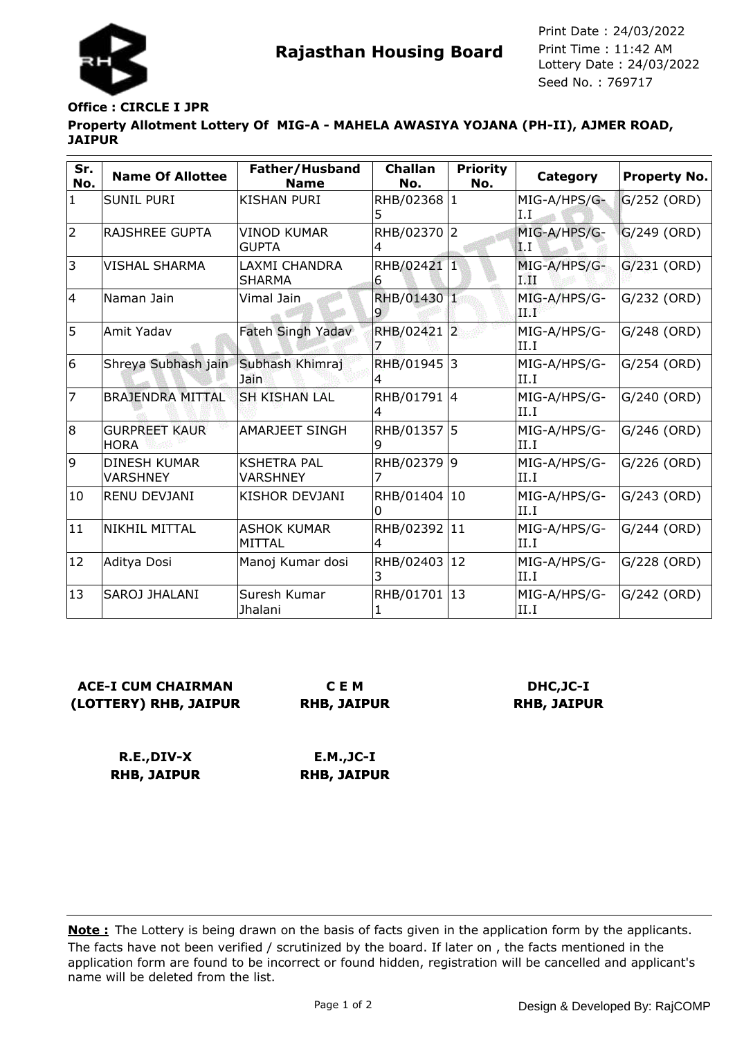

**Rajasthan Housing Board** Print Time : 11:42 AM<br>Lottery Date : 24/03/2022 Seed No. : 769717 Print Date : 24/03/2022 Print Time : 11:42 AM

#### **Property Allotment Lottery Of MIG-A - MAHELA AWASIYA YOJANA (PH-II), AJMER ROAD, JAIPUR Office : CIRCLE I JPR**

| Sr.<br>No. | <b>Name Of Allottee</b>                | Father/Husband<br><b>Name</b>         | <b>Challan</b><br>No. | <b>Priority</b><br>No. | Category                     | Property No.  |
|------------|----------------------------------------|---------------------------------------|-----------------------|------------------------|------------------------------|---------------|
| 1          | <b>SUNIL PURI</b>                      | <b>KISHAN PURI</b>                    | RHB/02368  1<br>5     |                        | MIG-A/HPS/G-<br>I.I          | G/252 (ORD)   |
| 2          | <b>RAJSHREE GUPTA</b>                  | VINOD KUMAR<br><b>GUPTA</b>           | RHB/02370<br>4        | 12.                    | MIG-A/HPS/G-<br>$\mathbf{L}$ | G/249 (ORD)   |
| 3          | <b>VISHAL SHARMA</b>                   | <b>LAXMI CHANDRA</b><br><b>SHARMA</b> | RHB/02421 1<br>6      |                        | MIG-A/HPS/G-<br>TЙ           | $G/231$ (ORD) |
| 4          | Naman Jain                             | Vimal Jain                            | RHB/01430 1           |                        | MIG-A/HPS/G-<br>d Par        | G/232 (ORD)   |
| 5          | lAmit Yadav                            | Fateh Singh Yadav                     | RHB/02421 2           |                        | MIG-A/HPS/G-<br>II.I         | G/248 (ORD)   |
| 6          | Shreya Subhash jain                    | Subhash Khimraj<br>Jain               | RHB/01945             | 3                      | MIG-A/HPS/G-<br>II.I         | G/254 (ORD)   |
| 17         | <b>BRAJENDRA MITTAL</b>                | <b>SH KISHAN LAL</b>                  | RHB/01791 4           |                        | MIG-A/HPS/G-<br>II.I         | G/240 (ORD)   |
| 8          | <b>GURPREET KAUR</b><br><b>HORA</b>    | <b>AMARJEET SINGH</b>                 | RHB/01357 5<br>9      |                        | MIG-A/HPS/G-<br>II.I         | G/246 (ORD)   |
| 9          | <b>DINESH KUMAR</b><br><b>VARSHNEY</b> | <b>KSHETRA PAL</b><br><b>VARSHNEY</b> | RHB/02379 9<br>7      |                        | MIG-A/HPS/G-<br>II.I         | G/226 (ORD)   |
| 10         | <b>RENU DEVJANI</b>                    | KISHOR DEVJANI                        | RHB/01404<br>0        | $ 10\rangle$           | MIG-A/HPS/G-<br>II.I         | G/243 (ORD)   |
| 11         | <b>NIKHIL MITTAL</b>                   | IASHOK KUMAR<br>MITTAL                | RHB/02392 11<br>4     |                        | MIG-A/HPS/G-<br>II.I         | G/244 (ORD)   |
| 12         | Aditya Dosi                            | Manoj Kumar dosi                      | RHB/02403 12<br>3     |                        | MIG-A/HPS/G-<br>II.I         | G/228 (ORD)   |
| 13         | SAROJ JHALANI                          | Suresh Kumar<br>Jhalani               | RHB/01701             | 13                     | MIG-A/HPS/G-<br>II.I         | G/242 (ORD)   |

## **ACE-I CUM CHAIRMAN (LOTTERY) RHB, JAIPUR**

**C E M RHB, JAIPUR**

### **DHC,JC-I RHB, JAIPUR**

**R.E.,DIV-X RHB, JAIPUR**

**E.M.,JC-I RHB, JAIPUR**

The facts have not been verified / scrutinized by the board. If later on , the facts mentioned in the application form are found to be incorrect or found hidden, registration will be cancelled and applicant's name will be deleted from the list. **Note :** The Lottery is being drawn on the basis of facts given in the application form by the applicants.